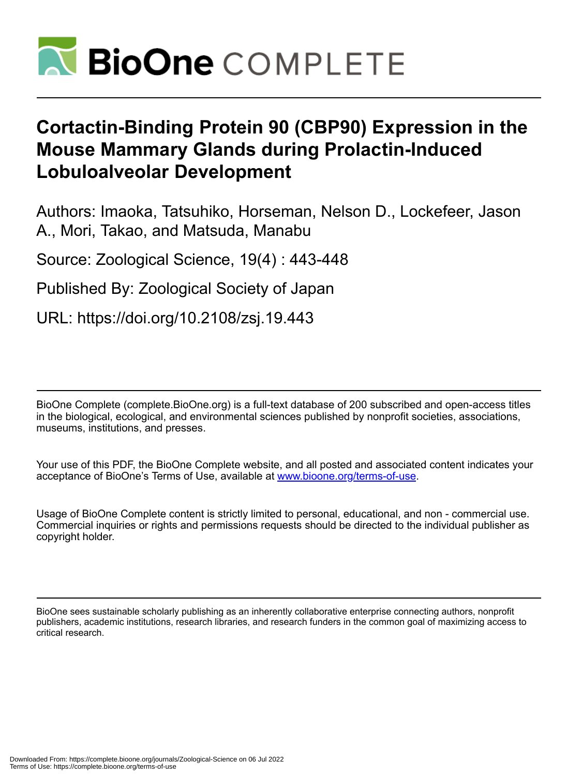

# **Cortactin-Binding Protein 90 (CBP90) Expression in the Mouse Mammary Glands during Prolactin-Induced Lobuloalveolar Development**

Authors: Imaoka, Tatsuhiko, Horseman, Nelson D., Lockefeer, Jason A., Mori, Takao, and Matsuda, Manabu

Source: Zoological Science, 19(4) : 443-448

Published By: Zoological Society of Japan

URL: https://doi.org/10.2108/zsj.19.443

BioOne Complete (complete.BioOne.org) is a full-text database of 200 subscribed and open-access titles in the biological, ecological, and environmental sciences published by nonprofit societies, associations, museums, institutions, and presses.

Your use of this PDF, the BioOne Complete website, and all posted and associated content indicates your acceptance of BioOne's Terms of Use, available at www.bioone.org/terms-of-use.

Usage of BioOne Complete content is strictly limited to personal, educational, and non - commercial use. Commercial inquiries or rights and permissions requests should be directed to the individual publisher as copyright holder.

BioOne sees sustainable scholarly publishing as an inherently collaborative enterprise connecting authors, nonprofit publishers, academic institutions, research libraries, and research funders in the common goal of maximizing access to critical research.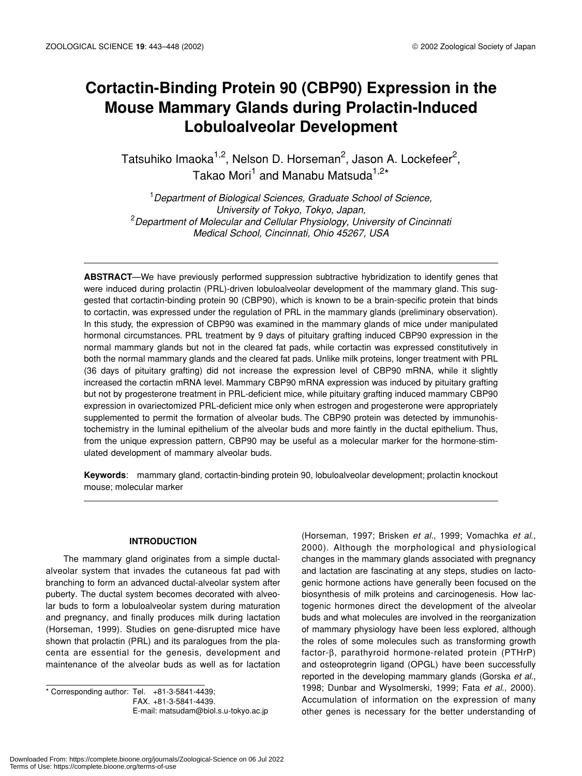# **Cortactin-Binding Protein 90 (CBP90) Expression in the Mouse Mammary Glands during Prolactin-Induced Lobuloalveolar Development**

Tatsuhiko Imaoka<sup>1,2</sup>, Nelson D. Horseman<sup>2</sup>, Jason A. Lockefeer<sup>2</sup>, Takao Mori<sup>1</sup> and Manabu Matsuda<sup>1,2\*</sup>

1 *Department of Biological Sciences, Graduate School of Science, University of Tokyo, Tokyo, Japan,* 2 *Department of Molecular and Cellular Physiology, University of Cincinnati Medical School, Cincinnati, Ohio 45267, USA*

**ABSTRACT**—We have previously performed suppression subtractive hybridization to identify genes that were induced during prolactin (PRL)-driven lobuloalveolar development of the mammary gland. This suggested that cortactin-binding protein 90 (CBP90), which is known to be a brain-specific protein that binds to cortactin, was expressed under the regulation of PRL in the mammary glands (preliminary observation). In this study, the expression of CBP90 was examined in the mammary glands of mice under manipulated hormonal circumstances. PRL treatment by 9 days of pituitary grafting induced CBP90 expression in the normal mammary glands but not in the cleared fat pads, while cortactin was expressed constitutively in both the normal mammary glands and the cleared fat pads. Unlike milk proteins, longer treatment with PRL (36 days of pituitary grafting) did not increase the expression level of CBP90 mRNA, while it slightly increased the cortactin mRNA level. Mammary CBP90 mRNA expression was induced by pituitary grafting but not by progesterone treatment in PRL-deficient mice, while pituitary grafting induced mammary CBP90 expression in ovariectomized PRL-deficient mice only when estrogen and progesterone were appropriately supplemented to permit the formation of alveolar buds. The CBP90 protein was detected by immunohistochemistry in the luminal epithelium of the alveolar buds and more faintly in the ductal epithelium. Thus, from the unique expression pattern, CBP90 may be useful as a molecular marker for the hormone-stimulated development of mammary alveolar buds.

**Keywords**: mammary gland, cortactin-binding protein 90, lobuloalveolar development; prolactin knockout mouse; molecular marker

#### **INTRODUCTION**

The mammary gland originates from a simple ductalalveolar system that invades the cutaneous fat pad with branching to form an advanced ductal-alveolar system after puberty. The ductal system becomes decorated with alveolar buds to form a lobuloalveolar system during maturation and pregnancy, and finally produces milk during lactation (Horseman, 1999). Studies on gene-disrupted mice have shown that prolactin (PRL) and its paralogues from the placenta are essential for the genesis, development and maintenance of the alveolar buds as well as for lactation

\* Corresponding author: Tel. +81-3-5841-4439; FAX. +81-3-5841-4439. E-mail: matsudam@biol.s.u-tokyo.ac.jp (Horseman, 1997; Brisken *et al.*, 1999; Vomachka *et al*., 2000). Although the morphological and physiological changes in the mammary glands associated with pregnancy and lactation are fascinating at any steps, studies on lactogenic hormone actions have generally been focused on the biosynthesis of milk proteins and carcinogenesis. How lactogenic hormones direct the development of the alveolar buds and what molecules are involved in the reorganization of mammary physiology have been less explored, although the roles of some molecules such as transforming growth factor-β, parathyroid hormone-related protein (PTHrP) and osteoprotegrin ligand (OPGL) have been successfully reported in the developing mammary glands (Gorska *et al*., 1998; Dunbar and Wysolmerski, 1999; Fata *et al*., 2000). Accumulation of information on the expression of many other genes is necessary for the better understanding of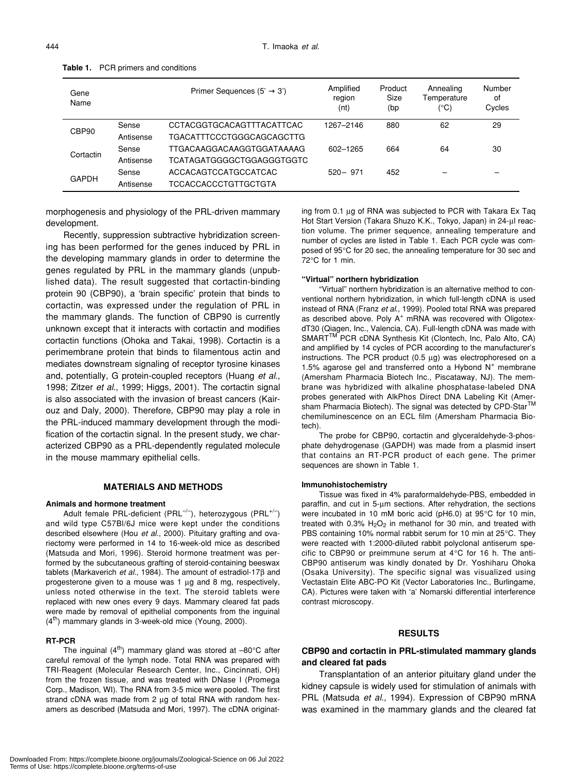| Gene<br>Name |           | 3')<br>Primer Sequences (5'      | Amplified<br>region<br>(nt) | Product<br>Size<br>(bp | Annealing<br>Temperature<br>(°C) | Number<br>of<br>Cycles |
|--------------|-----------|----------------------------------|-----------------------------|------------------------|----------------------------------|------------------------|
| CBP90        | Sense     | CCTACGGTGCACAGTTTACATTCAC        | 1267-2146                   | 880                    | 62                               | 29                     |
|              | Antisense | <b>TGACATTTCCCTGGGCAGCAGCTTG</b> |                             |                        |                                  |                        |
| Cortactin    | Sense     | TTGACAAGGACAAGGTGGATAAAAG        | 602-1265                    | 664                    | 64                               | 30                     |
|              | Antisense | TCATAGATGGGGCTGGAGGGTGGTC        |                             |                        |                                  |                        |
| <b>GAPDH</b> | Sense     | ACCACAGTCCATGCCATCAC             | $520 - 971$                 | 452                    |                                  |                        |
|              | Antisense | <b>TCCACCACCCTGTTGCTGTA</b>      |                             |                        |                                  |                        |

**Table 1.** PCR primers and conditions

morphogenesis and physiology of the PRL-driven mammary development.

Recently, suppression subtractive hybridization screening has been performed for the genes induced by PRL in the developing mammary glands in order to determine the genes regulated by PRL in the mammary glands (unpublished data). The result suggested that cortactin-binding protein 90 (CBP90), a 'brain specific' protein that binds to cortactin, was expressed under the regulation of PRL in the mammary glands. The function of CBP90 is currently unknown except that it interacts with cortactin and modifies cortactin functions (Ohoka and Takai, 1998). Cortactin is a perimembrane protein that binds to filamentous actin and mediates downstream signaling of receptor tyrosine kinases and, potentially, G protein-coupled receptors (Huang *et al*., 1998; Zitzer *et al*., 1999; Higgs, 2001). The cortactin signal is also associated with the invasion of breast cancers (Kairouz and Daly, 2000). Therefore, CBP90 may play a role in the PRL-induced mammary development through the modification of the cortactin signal. In the present study, we characterized CBP90 as a PRL-dependently regulated molecule in the mouse mammary epithelial cells.

#### **MATERIALS AND METHODS**

#### **Animals and hormone treatment**

Adult female PRL-deficient (PRL<sup>-/-</sup>), heterozygous (PRL<sup>+/-</sup>) and wild type C57Bl/6J mice were kept under the conditions described elsewhere (Hou *et al*., 2000). Pituitary grafting and ovariectomy were performed in 14 to 16-week-old mice as described (Matsuda and Mori, 1996). Steroid hormone treatment was performed by the subcutaneous grafting of steroid-containing beeswax tablets (Markaverich *et al*., 1984). The amount of estradiol-17β and progesterone given to a mouse was 1 µg and 8 mg, respectively, unless noted otherwise in the text. The steroid tablets were replaced with new ones every 9 days. Mammary cleared fat pads were made by removal of epithelial components from the inguinal  $(4<sup>th</sup>)$  mammary glands in 3-week-old mice (Young, 2000).

#### **RT-PCR**

The inguinal  $(4^{th})$  mammary gland was stored at  $-80^{\circ}$ C after careful removal of the lymph node. Total RNA was prepared with TRI-Reagent (Molecular Research Center, Inc., Cincinnati, OH) from the frozen tissue, and was treated with DNase I (Promega Corp., Madison, WI). The RNA from 3-5 mice were pooled. The first strand cDNA was made from 2  $\mu$ g of total RNA with random hexamers as described (Matsuda and Mori, 1997). The cDNA originating from 0.1 µg of RNA was subjected to PCR with Takara Ex Taq Hot Start Version (Takara Shuzo K.K., Tokyo, Japan) in 24-µl reaction volume. The primer sequence, annealing temperature and number of cycles are listed in Table 1. Each PCR cycle was composed of 95°C for 20 sec, the annealing temperature for 30 sec and 72°C for 1 min.

#### **"Virtual" northern hybridization**

"Virtual" northern hybridization is an alternative method to conventional northern hybridization, in which full-length cDNA is used instead of RNA (Franz *et al*., 1999). Pooled total RNA was prepared as described above. Poly A<sup>+</sup> mRNA was recovered with OligotexdT30 (Qiagen, Inc., Valencia, CA). Full-length cDNA was made with SMART<sup>™</sup> PCR cDNA Synthesis Kit (Clontech, Inc, Palo Alto, CA) and amplified by 14 cycles of PCR according to the manufacturer's instructions. The PCR product (0.5 µg) was electrophoresed on a 1.5% agarose gel and transferred onto a Hybond  $N^+$  membrane (Amersham Pharmacia Biotech Inc., Piscataway, NJ). The membrane was hybridized with alkaline phosphatase-labeled DNA probes generated with AlkPhos Direct DNA Labeling Kit (Amersham Pharmacia Biotech). The signal was detected by CPD-Star<sup>TM</sup> chemiluminescence on an ECL film (Amersham Pharmacia Biotech).

The probe for CBP90, cortactin and glyceraldehyde-3-phosphate dehydrogenase (GAPDH) was made from a plasmid insert that contains an RT-PCR product of each gene. The primer sequences are shown in Table 1.

#### **Immunohistochemistry**

Tissue was fixed in 4% paraformaldehyde-PBS, embedded in paraffin, and cut in 5-µm sections. After rehydration, the sections were incubated in 10 mM boric acid (pH6.0) at 95°C for 10 min, treated with  $0.3\%$  H<sub>2</sub>O<sub>2</sub> in methanol for 30 min, and treated with PBS containing 10% normal rabbit serum for 10 min at 25°C. They were reacted with 1:2000-diluted rabbit polyclonal antiserum specific to CBP90 or preimmune serum at 4°C for 16 h. The anti-CBP90 antiserum was kindly donated by Dr. Yoshiharu Ohoka (Osaka University). The specific signal was visualized using Vectastain Elite ABC-PO Kit (Vector Laboratories Inc., Burlingame, CA). Pictures were taken with 'a' Nomarski differential interference contrast microscopy.

#### **RESULTS**

# **CBP90 and cortactin in PRL-stimulated mammary glands and cleared fat pads**

Transplantation of an anterior pituitary gland under the kidney capsule is widely used for stimulation of animals with PRL (Matsuda *et al*., 1994). Expression of CBP90 mRNA was examined in the mammary glands and the cleared fat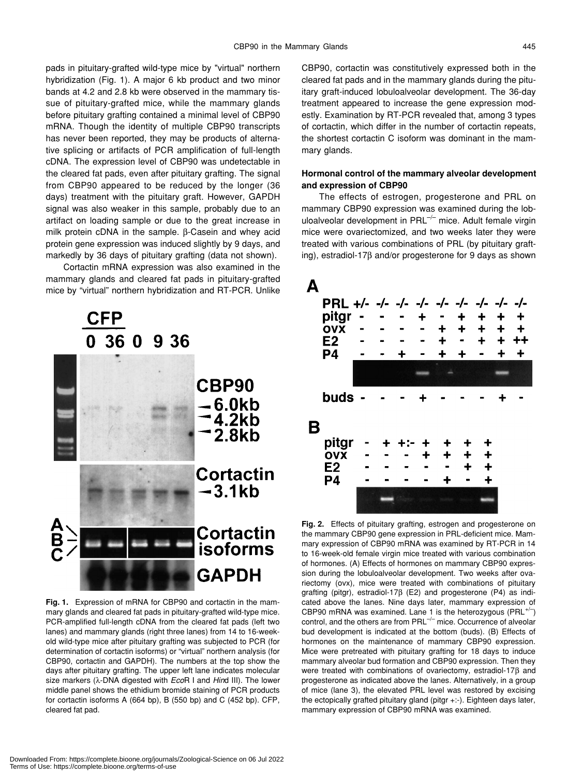pads in pituitary-grafted wild-type mice by "virtual" northern hybridization (Fig. 1). A major 6 kb product and two minor bands at 4.2 and 2.8 kb were observed in the mammary tissue of pituitary-grafted mice, while the mammary glands before pituitary grafting contained a minimal level of CBP90 mRNA. Though the identity of multiple CBP90 transcripts has never been reported, they may be products of alternative splicing or artifacts of PCR amplification of full-length cDNA. The expression level of CBP90 was undetectable in the cleared fat pads, even after pituitary grafting. The signal from CBP90 appeared to be reduced by the longer (36 days) treatment with the pituitary graft. However, GAPDH signal was also weaker in this sample, probably due to an artifact on loading sample or due to the great increase in milk protein cDNA in the sample. β-Casein and whey acid protein gene expression was induced slightly by 9 days, and markedly by 36 days of pituitary grafting (data not shown).

Cortactin mRNA expression was also examined in the mammary glands and cleared fat pads in pituitary-grafted mice by "virtual" northern hybridization and RT-PCR. Unlike



**Fig. 1.** Expression of mRNA for CBP90 and cortactin in the mammary glands and cleared fat pads in pituitary-grafted wild-type mice. PCR-amplified full-length cDNA from the cleared fat pads (left two lanes) and mammary glands (right three lanes) from 14 to 16-weekold wild-type mice after pituitary grafting was subjected to PCR (for determination of cortactin isoforms) or "virtual" northern analysis (for CBP90, cortactin and GAPDH). The numbers at the top show the days after pituitary grafting. The upper left lane indicates molecular size markers (λ-DNA digested with *Eco*R I and *Hin*d III). The lower middle panel shows the ethidium bromide staining of PCR products for cortactin isoforms A (664 bp), B (550 bp) and C (452 bp). CFP, cleared fat pad.

CBP90, cortactin was constitutively expressed both in the cleared fat pads and in the mammary glands during the pituitary graft-induced lobuloalveolar development. The 36-day treatment appeared to increase the gene expression modestly. Examination by RT-PCR revealed that, among 3 types of cortactin, which differ in the number of cortactin repeats, the shortest cortactin C isoform was dominant in the mammary glands.

# **Hormonal control of the mammary alveolar development and expression of CBP90**

The effects of estrogen, progesterone and PRL on mammary CBP90 expression was examined during the lobuloalveolar development in  $PRL^{-/-}$  mice. Adult female virgin mice were ovariectomized, and two weeks later they were treated with various combinations of PRL (by pituitary grafting), estradiol-17β and/or progesterone for 9 days as shown



**Fig. 2.** Effects of pituitary grafting, estrogen and progesterone on the mammary CBP90 gene expression in PRL-deficient mice. Mammary expression of CBP90 mRNA was examined by RT-PCR in 14 to 16-week-old female virgin mice treated with various combination of hormones. (A) Effects of hormones on mammary CBP90 expression during the lobuloalveolar development. Two weeks after ovariectomy (ovx), mice were treated with combinations of pituitary grafting (pitgr), estradiol-17β (E2) and progesterone (P4) as indicated above the lanes. Nine days later, mammary expression of CBP90 mRNA was examined. Lane 1 is the heterozygous ( $PRL^{+/-}$ ) control, and the others are from  $PRL^{-/-}$  mice. Occurrence of alveolar bud development is indicated at the bottom (buds). (B) Effects of hormones on the maintenance of mammary CBP90 expression. Mice were pretreated with pituitary grafting for 18 days to induce mammary alveolar bud formation and CBP90 expression. Then they were treated with combinations of ovariectomy, estradiol-17β and progesterone as indicated above the lanes. Alternatively, in a group of mice (lane 3), the elevated PRL level was restored by excising the ectopically grafted pituitary gland (pitgr +:-). Eighteen days later, mammary expression of CBP90 mRNA was examined.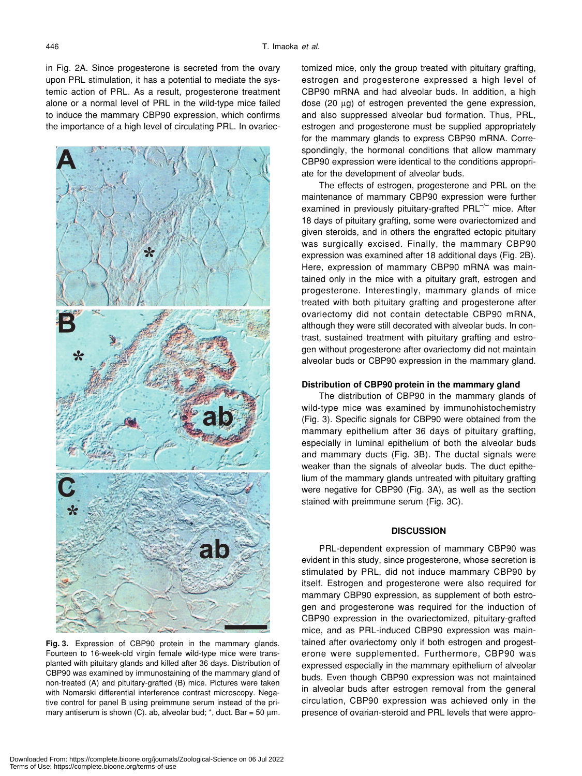in Fig. 2A. Since progesterone is secreted from the ovary upon PRL stimulation, it has a potential to mediate the systemic action of PRL. As a result, progesterone treatment alone or a normal level of PRL in the wild-type mice failed to induce the mammary CBP90 expression, which confirms the importance of a high level of circulating PRL. In ovariec-



**Fig. 3.** Expression of CBP90 protein in the mammary glands. Fourteen to 16-week-old virgin female wild-type mice were transplanted with pituitary glands and killed after 36 days. Distribution of CBP90 was examined by immunostaining of the mammary gland of non-treated (A) and pituitary-grafted (B) mice. Pictures were taken with Nomarski differential interference contrast microscopy. Negative control for panel B using preimmune serum instead of the primary antiserum is shown (C). ab, alveolar bud;  $*$ , duct. Bar = 50  $\mu$ m.

tomized mice, only the group treated with pituitary grafting, estrogen and progesterone expressed a high level of CBP90 mRNA and had alveolar buds. In addition, a high dose (20 µg) of estrogen prevented the gene expression, and also suppressed alveolar bud formation. Thus, PRL, estrogen and progesterone must be supplied appropriately for the mammary glands to express CBP90 mRNA. Correspondingly, the hormonal conditions that allow mammary CBP90 expression were identical to the conditions appropriate for the development of alveolar buds.

The effects of estrogen, progesterone and PRL on the maintenance of mammary CBP90 expression were further examined in previously pituitary-grafted  $PRL^{-/-}$  mice. After 18 days of pituitary grafting, some were ovariectomized and given steroids, and in others the engrafted ectopic pituitary was surgically excised. Finally, the mammary CBP90 expression was examined after 18 additional days (Fig. 2B). Here, expression of mammary CBP90 mRNA was maintained only in the mice with a pituitary graft, estrogen and progesterone. Interestingly, mammary glands of mice treated with both pituitary grafting and progesterone after ovariectomy did not contain detectable CBP90 mRNA, although they were still decorated with alveolar buds. In contrast, sustained treatment with pituitary grafting and estrogen without progesterone after ovariectomy did not maintain alveolar buds or CBP90 expression in the mammary gland.

#### **Distribution of CBP90 protein in the mammary gland**

The distribution of CBP90 in the mammary glands of wild-type mice was examined by immunohistochemistry (Fig. 3). Specific signals for CBP90 were obtained from the mammary epithelium after 36 days of pituitary grafting, especially in luminal epithelium of both the alveolar buds and mammary ducts (Fig. 3B). The ductal signals were weaker than the signals of alveolar buds. The duct epithelium of the mammary glands untreated with pituitary grafting were negative for CBP90 (Fig. 3A), as well as the section stained with preimmune serum (Fig. 3C).

## **DISCUSSION**

PRL-dependent expression of mammary CBP90 was evident in this study, since progesterone, whose secretion is stimulated by PRL, did not induce mammary CBP90 by itself. Estrogen and progesterone were also required for mammary CBP90 expression, as supplement of both estrogen and progesterone was required for the induction of CBP90 expression in the ovariectomized, pituitary-grafted mice, and as PRL-induced CBP90 expression was maintained after ovariectomy only if both estrogen and progesterone were supplemented. Furthermore, CBP90 was expressed especially in the mammary epithelium of alveolar buds. Even though CBP90 expression was not maintained in alveolar buds after estrogen removal from the general circulation, CBP90 expression was achieved only in the presence of ovarian-steroid and PRL levels that were appro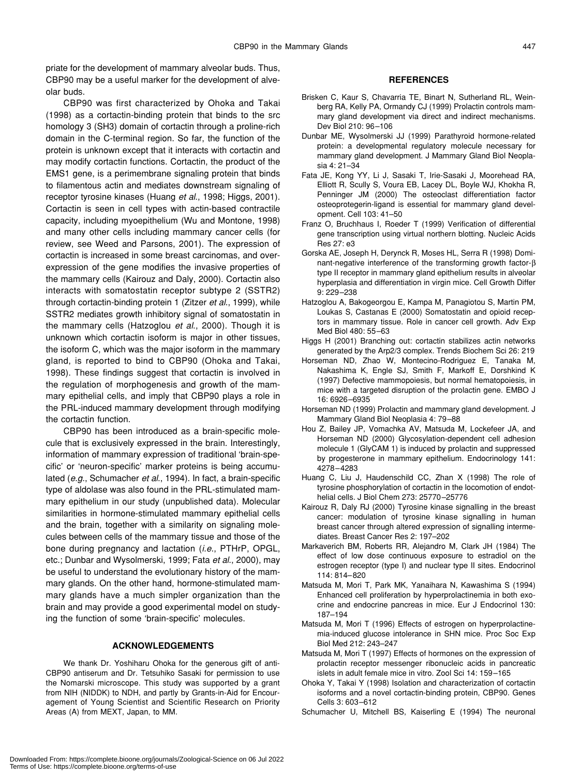priate for the development of mammary alveolar buds. Thus, CBP90 may be a useful marker for the development of alveolar buds.

CBP90 was first characterized by Ohoka and Takai (1998) as a cortactin-binding protein that binds to the src homology 3 (SH3) domain of cortactin through a proline-rich domain in the C-terminal region. So far, the function of the protein is unknown except that it interacts with cortactin and may modify cortactin functions. Cortactin, the product of the EMS1 gene, is a perimembrane signaling protein that binds to filamentous actin and mediates downstream signaling of receptor tyrosine kinases (Huang *et al*., 1998; Higgs, 2001). Cortactin is seen in cell types with actin-based contractile capacity, including myoepithelium (Wu and Montone, 1998) and many other cells including mammary cancer cells (for review, see Weed and Parsons, 2001). The expression of cortactin is increased in some breast carcinomas, and overexpression of the gene modifies the invasive properties of the mammary cells (Kairouz and Daly, 2000). Cortactin also interacts with somatostatin receptor subtype 2 (SSTR2) through cortactin-binding protein 1 (Zitzer *et al*., 1999), while SSTR2 mediates growth inhibitory signal of somatostatin in the mammary cells (Hatzoglou *et al*., 2000). Though it is unknown which cortactin isoform is major in other tissues, the isoform C, which was the major isoform in the mammary gland, is reported to bind to CBP90 (Ohoka and Takai, 1998). These findings suggest that cortactin is involved in the regulation of morphogenesis and growth of the mammary epithelial cells, and imply that CBP90 plays a role in the PRL-induced mammary development through modifying the cortactin function.

CBP90 has been introduced as a brain-specific molecule that is exclusively expressed in the brain. Interestingly, information of mammary expression of traditional 'brain-specific' or 'neuron-specific' marker proteins is being accumulated (*e.g*., Schumacher *et al*., 1994). In fact, a brain-specific type of aldolase was also found in the PRL-stimulated mammary epithelium in our study (unpublished data). Molecular similarities in hormone-stimulated mammary epithelial cells and the brain, together with a similarity on signaling molecules between cells of the mammary tissue and those of the bone during pregnancy and lactation (*i.e*., PTHrP, OPGL, etc.; Dunbar and Wysolmerski, 1999; Fata *et al*., 2000), may be useful to understand the evolutionary history of the mammary glands. On the other hand, hormone-stimulated mammary glands have a much simpler organization than the brain and may provide a good experimental model on studying the function of some 'brain-specific' molecules.

#### **ACKNOWLEDGEMENTS**

We thank Dr. Yoshiharu Ohoka for the generous gift of anti-CBP90 antiserum and Dr. Tetsuhiko Sasaki for permission to use the Nomarski microscope. This study was supported by a grant from NIH (NIDDK) to NDH, and partly by Grants-in-Aid for Encouragement of Young Scientist and Scientific Research on Priority Areas (A) from MEXT, Japan, to MM.

#### **REFERENCES**

- Brisken C, Kaur S, Chavarria TE, Binart N, Sutherland RL, Weinberg RA, Kelly PA, Ormandy CJ (1999) Prolactin controls mammary gland development via direct and indirect mechanisms. Dev Biol 210: 96–106
- Dunbar ME, Wysolmerski JJ (1999) Parathyroid hormone-related protein: a developmental regulatory molecule necessary for mammary gland development. J Mammary Gland Biol Neoplasia 4: 21–34
- Fata JE, Kong YY, Li J, Sasaki T, Irie-Sasaki J, Moorehead RA, Elliott R, Scully S, Voura EB, Lacey DL, Boyle WJ, Khokha R, Penninger JM (2000) The osteoclast differentiation factor osteoprotegerin-ligand is essential for mammary gland development. Cell 103: 41–50
- Franz O, Bruchhaus I, Roeder T (1999) Verification of differential gene transcription using virtual northern blotting. Nucleic Acids Res 27: e3
- Gorska AE, Joseph H, Derynck R, Moses HL, Serra R (1998) Dominant-negative interference of the transforming growth factor-β type II receptor in mammary gland epithelium results in alveolar hyperplasia and differentiation in virgin mice. Cell Growth Differ 9: 229–238
- Hatzoglou A, Bakogeorgou E, Kampa M, Panagiotou S, Martin PM, Loukas S, Castanas E (2000) Somatostatin and opioid receptors in mammary tissue. Role in cancer cell growth. Adv Exp Med Biol 480: 55–63
- Higgs H (2001) Branching out: cortactin stabilizes actin networks generated by the Arp2/3 complex. Trends Biochem Sci 26: 219
- Horseman ND, Zhao W, Montecino-Rodriguez E, Tanaka M, Nakashima K, Engle SJ, Smith F, Markoff E, Dorshkind K (1997) Defective mammopoiesis, but normal hematopoiesis, in mice with a targeted disruption of the prolactin gene. EMBO J 16: 6926–6935
- Horseman ND (1999) Prolactin and mammary gland development. J Mammary Gland Biol Neoplasia 4: 79–88
- Hou Z, Bailey JP, Vomachka AV, Matsuda M, Lockefeer JA, and Horseman ND (2000) Glycosylation-dependent cell adhesion molecule 1 (GlyCAM 1) is induced by prolactin and suppressed by progesterone in mammary epithelium. Endocrinology 141: 4278–4283
- Huang C, Liu J, Haudenschild CC, Zhan X (1998) The role of tyrosine phosphorylation of cortactin in the locomotion of endothelial cells. J Biol Chem 273: 25770–25776
- Kairouz R, Daly RJ (2000) Tyrosine kinase signalling in the breast cancer: modulation of tyrosine kinase signalling in human breast cancer through altered expression of signalling intermediates. Breast Cancer Res 2: 197–202
- Markaverich BM, Roberts RR, Alejandro M, Clark JH (1984) The effect of low dose continuous exposure to estradiol on the estrogen receptor (type I) and nuclear type II sites. Endocrinol 114: 814–820
- Matsuda M, Mori T, Park MK, Yanaihara N, Kawashima S (1994) Enhanced cell proliferation by hyperprolactinemia in both exocrine and endocrine pancreas in mice. Eur J Endocrinol 130: 187–194
- Matsuda M, Mori T (1996) Effects of estrogen on hyperprolactinemia-induced glucose intolerance in SHN mice. Proc Soc Exp Biol Med 212: 243–247
- Matsuda M, Mori T (1997) Effects of hormones on the expression of prolactin receptor messenger ribonucleic acids in pancreatic islets in adult female mice in vitro. Zool Sci 14: 159–165
- Ohoka Y, Takai Y (1998) Isolation and characterization of cortactin isoforms and a novel cortactin-binding protein, CBP90. Genes Cells 3: 603–612
- Schumacher U, Mitchell BS, Kaiserling E (1994) The neuronal